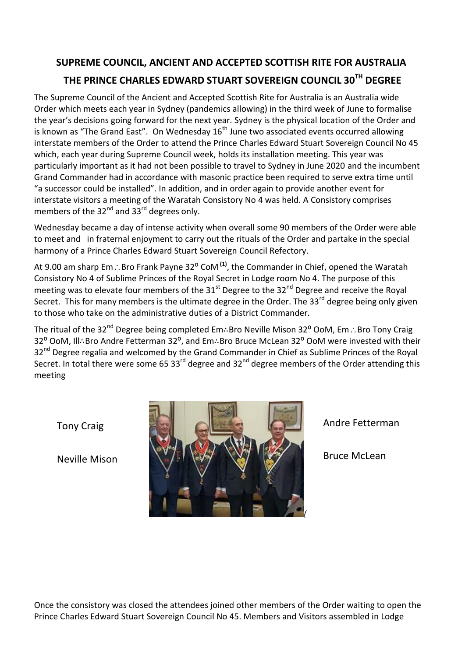## **SUPREME COUNCIL, ANCIENT AND ACCEPTED SCOTTISH RITE FOR AUSTRALIA THE PRINCE CHARLES EDWARD STUART SOVEREIGN COUNCIL 30TH DEGREE**

The Supreme Council of the Ancient and Accepted Scottish Rite for Australia is an Australia wide Order which meets each year in Sydney (pandemics allowing) in the third week of June to formalise the year's decisions going forward for the next year. Sydney is the physical location of the Order and is known as "The Grand East". On Wednesday 16<sup>th</sup> June two associated events occurred allowing interstate members of the Order to attend the Prince Charles Edward Stuart Sovereign Council No 45 which, each year during Supreme Council week, holds its installation meeting. This year was particularly important as it had not been possible to travel to Sydney in June 2020 and the incumbent Grand Commander had in accordance with masonic practice been required to serve extra time until "a successor could be installed". In addition, and in order again to provide another event for interstate visitors a meeting of the Waratah Consistory No 4 was held. A Consistory comprises members of the  $32^{nd}$  and  $33^{rd}$  degrees only.

Wednesday became a day of intense activity when overall some 90 members of the Order were able to meet and in fraternal enjoyment to carry out the rituals of the Order and partake in the special harmony of a Prince Charles Edward Stuart Sovereign Council Refectory.

At 9.00 am sharp Em∴Bro Frank Payne 32<sup>°</sup> CoM<sup>(1)</sup>, the Commander in Chief, opened the Waratah Consistory No 4 of Sublime Princes of the Royal Secret in Lodge room No 4. The purpose of this meeting was to elevate four members of the  $31<sup>st</sup>$  Degree to the 32<sup>nd</sup> Degree and receive the Royal Secret. This for many members is the ultimate degree in the Order. The 33<sup>rd</sup> degree being only given to those who take on the administrative duties of a District Commander.

The ritual of the 32<sup>nd</sup> Degree being completed Em∴Bro Neville Mison 32<sup>o</sup> OoM, Em∴Bro Tony Craig 32<sup>°</sup> OoM, Ill∴Bro Andre Fetterman 32<sup>°</sup>, and Em∴Bro Bruce McLean 32<sup>°</sup> OoM were invested with their 32<sup>nd</sup> Degree regalia and welcomed by the Grand Commander in Chief as Sublime Princes of the Royal Secret. In total there were some 65 33<sup>rd</sup> degree and 32<sup>nd</sup> degree members of the Order attending this meeting

Tony Craig

Neville Mison



Andre Fetterman

Bruce McLean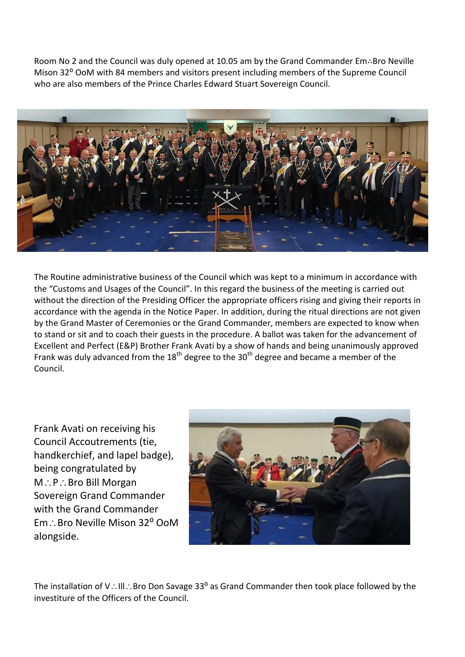Room No 2 and the Council was duly opened at 10.05 am by the Grand Commander Em∴Bro Neville Mison 32⁰ OoM with 84 members and visitors present including members of the Supreme Council who are also members of the Prince Charles Edward Stuart Sovereign Council.



The Routine administrative business of the Council which was kept to a minimum in accordance with the "Customs and Usages of the Council". In this regard the business of the meeting is carried out without the direction of the Presiding Officer the appropriate officers rising and giving their reports in accordance with the agenda in the Notice Paper. In addition, during the ritual directions are not given by the Grand Master of Ceremonies or the Grand Commander, members are expected to know when to stand or sit and to coach their guests in the procedure. A ballot was taken for the advancement of Excellent and Perfect (E&P) Brother Frank Avati by a show of hands and being unanimously approved Frank was duly advanced from the  $18^{th}$  degree to the 30<sup>th</sup> degree and became a member of the Council.

 alongside.Frank Avati on receiving his Council Accoutrements (tie, handkerchief, and lapel badge), being congratulated by M.: P∴Bro Bill Morgan Sovereign Grand Commander with the Grand Commander Em∴Bro Neville Mison 32<sup>°</sup> OoM



The installation of V: Ill: Bro Don Savage 33<sup>o</sup> as Grand Commander then took place followed by the investiture of the Officers of the Council.